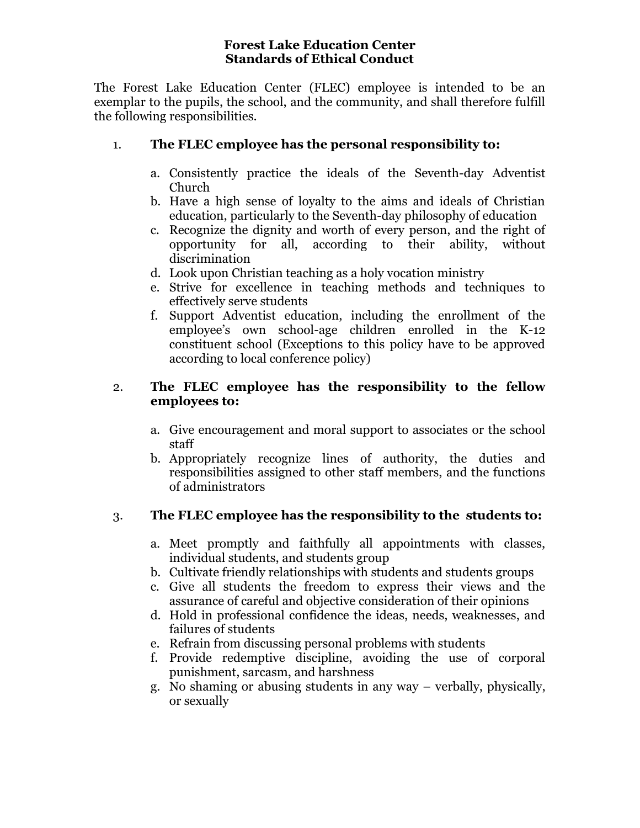### **Forest Lake Education Center Standards of Ethical Conduct**

The Forest Lake Education Center (FLEC) employee is intended to be an exemplar to the pupils, the school, and the community, and shall therefore fulfill the following responsibilities.

### 1. **The FLEC employee has the personal responsibility to:**

- a. Consistently practice the ideals of the Seventh-day Adventist Church
- b. Have a high sense of loyalty to the aims and ideals of Christian education, particularly to the Seventh-day philosophy of education
- c. Recognize the dignity and worth of every person, and the right of opportunity for all, according to their ability, without discrimination
- d. Look upon Christian teaching as a holy vocation ministry
- e. Strive for excellence in teaching methods and techniques to effectively serve students
- f. Support Adventist education, including the enrollment of the employee's own school-age children enrolled in the K-12 constituent school (Exceptions to this policy have to be approved according to local conference policy)

### 2. **The FLEC employee has the responsibility to the fellow employees to:**

- a. Give encouragement and moral support to associates or the school staff
- b. Appropriately recognize lines of authority, the duties and responsibilities assigned to other staff members, and the functions of administrators

# 3. **The FLEC employee has the responsibility to the students to:**

- a. Meet promptly and faithfully all appointments with classes, individual students, and students group
- b. Cultivate friendly relationships with students and students groups
- c. Give all students the freedom to express their views and the assurance of careful and objective consideration of their opinions
- d. Hold in professional confidence the ideas, needs, weaknesses, and failures of students
- e. Refrain from discussing personal problems with students
- f. Provide redemptive discipline, avoiding the use of corporal punishment, sarcasm, and harshness
- g. No shaming or abusing students in any way verbally, physically, or sexually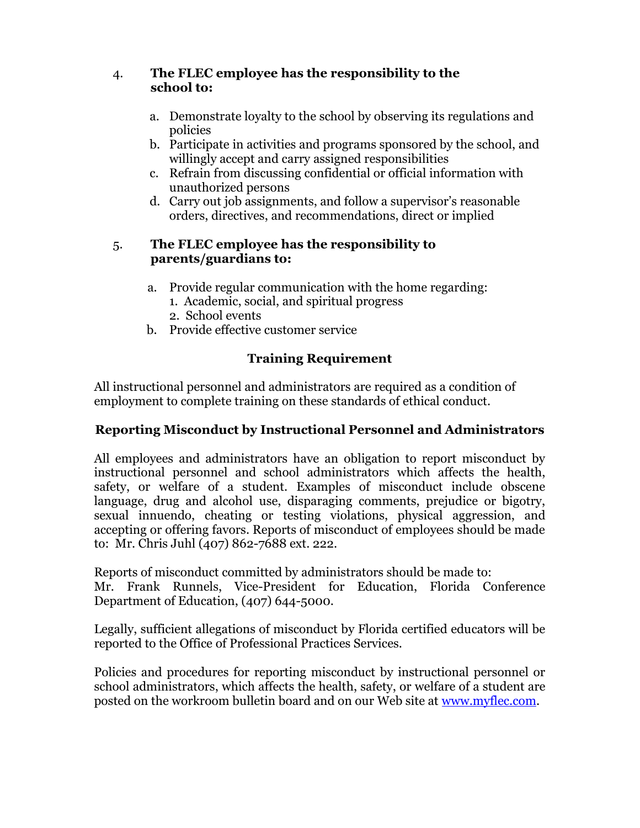### 4. **The FLEC employee has the responsibility to the school to:**

- a. Demonstrate loyalty to the school by observing its regulations and policies
- b. Participate in activities and programs sponsored by the school, and willingly accept and carry assigned responsibilities
- c. Refrain from discussing confidential or official information with unauthorized persons
- d. Carry out job assignments, and follow a supervisor's reasonable orders, directives, and recommendations, direct or implied

### 5. **The FLEC employee has the responsibility to parents/guardians to:**

- a. Provide regular communication with the home regarding:
	- 1. Academic, social, and spiritual progress
	- 2. School events
- b. Provide effective customer service

# **Training Requirement**

All instructional personnel and administrators are required as a condition of employment to complete training on these standards of ethical conduct.

# **Reporting Misconduct by Instructional Personnel and Administrators**

All employees and administrators have an obligation to report misconduct by instructional personnel and school administrators which affects the health, safety, or welfare of a student. Examples of misconduct include obscene language, drug and alcohol use, disparaging comments, prejudice or bigotry, sexual innuendo, cheating or testing violations, physical aggression, and accepting or offering favors. Reports of misconduct of employees should be made to: Mr. Chris Juhl (407) 862-7688 ext. 222.

Reports of misconduct committed by administrators should be made to: Mr. Frank Runnels, Vice-President for Education, Florida Conference Department of Education, (407) 644-5000.

Legally, sufficient allegations of misconduct by Florida certified educators will be reported to the Office of Professional Practices Services.

Policies and procedures for reporting misconduct by instructional personnel or school administrators, which affects the health, safety, or welfare of a student are posted on the workroom bulletin board and on our Web site at [www.myflec.com.](http://www.myflec.com/)